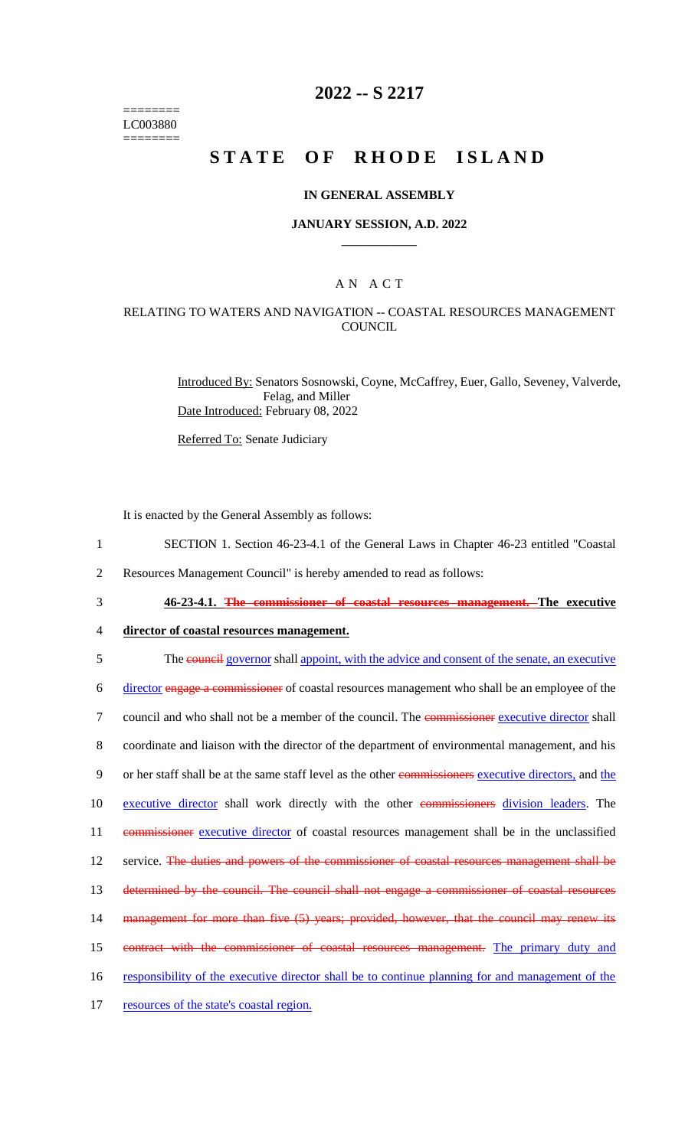======== LC003880 ========

## **2022 -- S 2217**

# **STATE OF RHODE ISLAND**

#### **IN GENERAL ASSEMBLY**

#### **JANUARY SESSION, A.D. 2022 \_\_\_\_\_\_\_\_\_\_\_\_**

### A N A C T

### RELATING TO WATERS AND NAVIGATION -- COASTAL RESOURCES MANAGEMENT **COUNCIL**

Introduced By: Senators Sosnowski, Coyne, McCaffrey, Euer, Gallo, Seveney, Valverde, Felag, and Miller Date Introduced: February 08, 2022

Referred To: Senate Judiciary

It is enacted by the General Assembly as follows:

- 1 SECTION 1. Section 46-23-4.1 of the General Laws in Chapter 46-23 entitled "Coastal
- 2 Resources Management Council" is hereby amended to read as follows:
- 3 **46-23-4.1. The commissioner of coastal resources management. The executive**
- 4 **director of coastal resources management.**

5 The council governor shall appoint, with the advice and consent of the senate, an executive

6 director engage a commissioner of coastal resources management who shall be an employee of the 7 council and who shall not be a member of the council. The commissioner executive director shall 8 coordinate and liaison with the director of the department of environmental management, and his 9 or her staff shall be at the same staff level as the other commissioners executive directors, and the 10 executive director shall work directly with the other commissioners division leaders. The

11 commissioner executive director of coastal resources management shall be in the unclassified

12 service. The duties and powers of the commissioner of coastal resources management shall be

13 determined by the council. The council shall not engage a commissioner of coastal resources

- 14 management for more than five (5) years; provided, however, that the council may renew its
- 15 contract with the commissioner of coastal resources management. The primary duty and
- 16 responsibility of the executive director shall be to continue planning for and management of the
- 17 resources of the state's coastal region.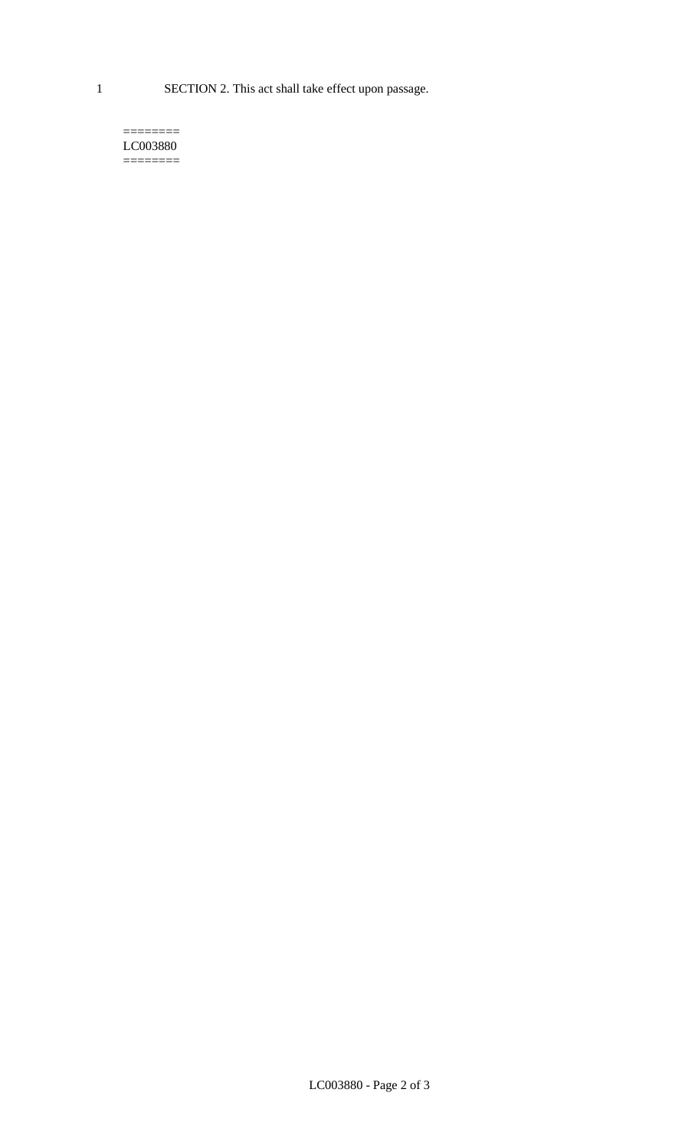1 SECTION 2. This act shall take effect upon passage.

#### $=$ LC003880  $=$